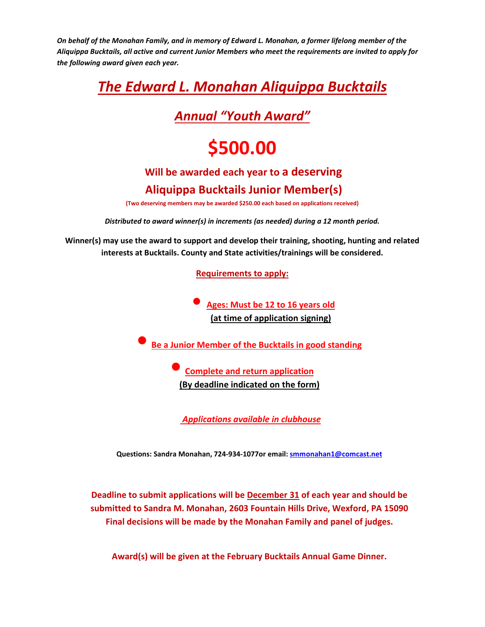*On behalf of the Monahan Family, and in memory of Edward L. Monahan, a former lifelong member of the Aliquippa Bucktails, all active and current Junior Members who meet the requirements are invited to apply for the following award given each year.* 

*The Edward L. Monahan Aliquippa Bucktails* 

## *Annual "Youth Award"*

## **\$500.00**

## **Will be awarded each year to a deserving**

## **Aliquippa Bucktails Junior Member(s)**

**(Two deserving members may be awarded \$250.00 each based on applications received)** 

*Distributed to award winner(s) in increments (as needed) during a 12 month period.* 

**Winner(s) may use the award to support and develop their training, shooting, hunting and related interests at Bucktails. County and State activities/trainings will be considered.** 

**Requirements to apply:** 

• **Ages: Must be 12 to 16 years old (at time of application signing)** 

• **Be a Junior Member of the Bucktails in good standing** 

• **Complete and return application (By deadline indicated on the form)** 

 *Applications available in clubhouse* 

**Questions: Sandra Monahan, 724-934-1077or email: smmonahan1@comcast.net** 

**Deadline to submit applications will be December 31 of each year and should be submitted to Sandra M. Monahan, 2603 Fountain Hills Drive, Wexford, PA 15090 Final decisions will be made by the Monahan Family and panel of judges.** 

**Award(s) will be given at the February Bucktails Annual Game Dinner.**